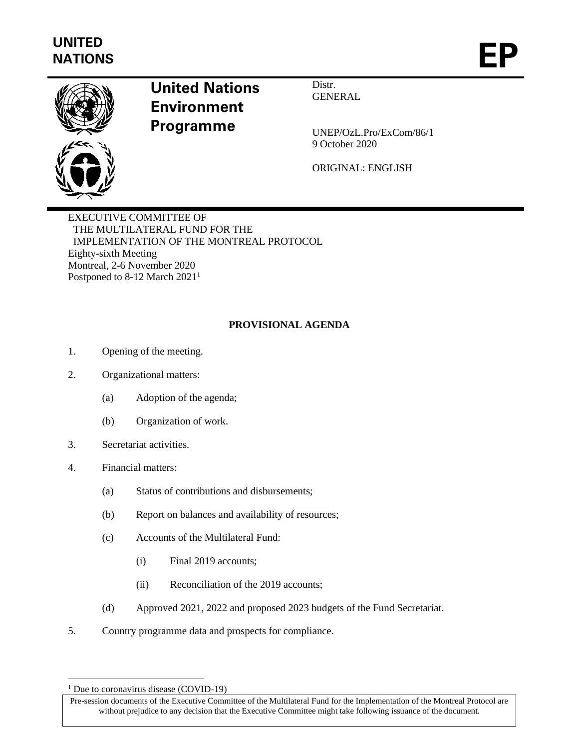

## **United Nations Environment Programme**

Distr. **GENERAL** 

UNEP/OzL.Pro/ExCom/86/1 9 October 2020

ORIGINAL: ENGLISH

EXECUTIVE COMMITTEE OF THE MULTILATERAL FUND FOR THE IMPLEMENTATION OF THE MONTREAL PROTOCOL Eighty-sixth Meeting Montreal, 2-6 November 2020 Postponed to 8-12 March 2021<sup>1</sup>

## **PROVISIONAL AGENDA**

- 1. Opening of the meeting.
- 2. Organizational matters:
	- (a) Adoption of the agenda;
	- (b) Organization of work.
- 3. Secretariat activities.
- 4. Financial matters:
	- (a) Status of contributions and disbursements;
	- (b) Report on balances and availability of resources;
	- (c) Accounts of the Multilateral Fund:
		- (i) Final 2019 accounts;
		- (ii) Reconciliation of the 2019 accounts;
	- (d) Approved 2021, 2022 and proposed 2023 budgets of the Fund Secretariat.
- 5. Country programme data and prospects for compliance.

<sup>&</sup>lt;sup>1</sup> Due to coronavirus disease (COVID-19)

Pre-session documents of the Executive Committee of the Multilateral Fund for the Implementation of the Montreal Protocol are without prejudice to any decision that the Executive Committee might take following issuance of the document.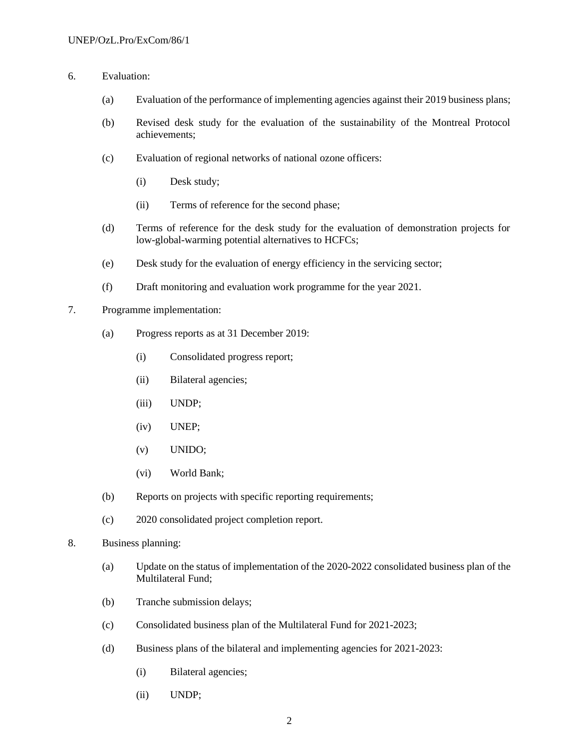- 6. Evaluation:
	- (a) Evaluation of the performance of implementing agencies against their 2019 business plans;
	- (b) Revised desk study for the evaluation of the sustainability of the Montreal Protocol achievements;
	- (c) Evaluation of regional networks of national ozone officers:
		- (i) Desk study;
		- (ii) Terms of reference for the second phase;
	- (d) Terms of reference for the desk study for the evaluation of demonstration projects for low-global-warming potential alternatives to HCFCs;
	- (e) Desk study for the evaluation of energy efficiency in the servicing sector;
	- (f) Draft monitoring and evaluation work programme for the year 2021.
- 7. Programme implementation:
	- (a) Progress reports as at 31 December 2019:
		- (i) Consolidated progress report;
		- (ii) Bilateral agencies;
		- (iii) UNDP;
		- (iv) UNEP;
		- (v) UNIDO;
		- (vi) World Bank;
	- (b) Reports on projects with specific reporting requirements;
	- (c) 2020 consolidated project completion report.
- 8. Business planning:
	- (a) Update on the status of implementation of the 2020-2022 consolidated business plan of the Multilateral Fund;
	- (b) Tranche submission delays;
	- (c) Consolidated business plan of the Multilateral Fund for 2021-2023;
	- (d) Business plans of the bilateral and implementing agencies for 2021-2023:
		- (i) Bilateral agencies;
		- (ii) UNDP;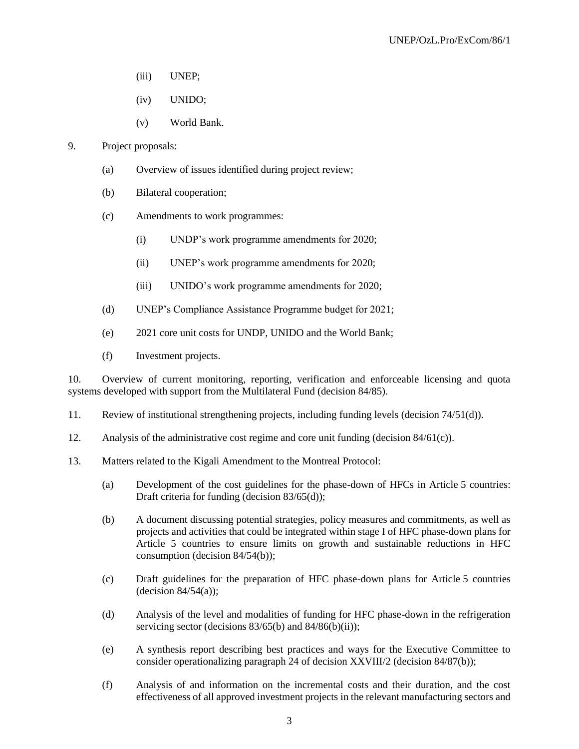- (iii) UNEP;
- (iv) UNIDO;
- (v) World Bank.
- 9. Project proposals:
	- (a) Overview of issues identified during project review;
	- (b) Bilateral cooperation;
	- (c) Amendments to work programmes:
		- (i) UNDP's work programme amendments for 2020;
		- (ii) UNEP's work programme amendments for 2020;
		- (iii) UNIDO's work programme amendments for 2020;
	- (d) UNEP's Compliance Assistance Programme budget for 2021;
	- (e) 2021 core unit costs for UNDP, UNIDO and the World Bank;
	- (f) Investment projects.

10. Overview of current monitoring, reporting, verification and enforceable licensing and quota systems developed with support from the Multilateral Fund (decision 84/85).

- 11. Review of institutional strengthening projects, including funding levels (decision 74/51(d)).
- 12. Analysis of the administrative cost regime and core unit funding (decision  $84/61(c)$ ).
- 13. Matters related to the Kigali Amendment to the Montreal Protocol:
	- (a) Development of the cost guidelines for the phase-down of HFCs in Article 5 countries: Draft criteria for funding (decision 83/65(d));
	- (b) A document discussing potential strategies, policy measures and commitments, as well as projects and activities that could be integrated within stage I of HFC phase-down plans for Article 5 countries to ensure limits on growth and sustainable reductions in HFC consumption (decision 84/54(b));
	- (c) Draft guidelines for the preparation of HFC phase-down plans for Article 5 countries  $-decision 84/54(a)$ ;
	- (d) Analysis of the level and modalities of funding for HFC phase-down in the refrigeration servicing sector (decisions  $83/65$ (b) and  $84/86$ (b)(ii));
	- (e) A synthesis report describing best practices and ways for the Executive Committee to consider operationalizing paragraph 24 of decision XXVIII/2 (decision 84/87(b));
	- (f) Analysis of and information on the incremental costs and their duration, and the cost effectiveness of all approved investment projects in the relevant manufacturing sectors and